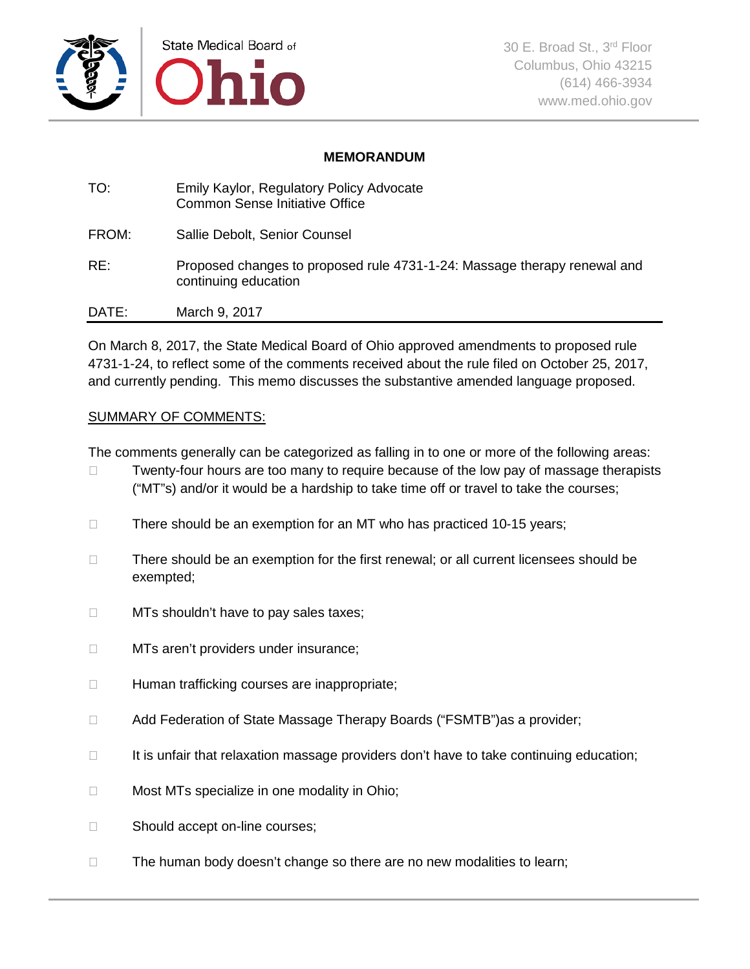

### **MEMORANDUM**

| TO:   | Emily Kaylor, Regulatory Policy Advocate<br><b>Common Sense Initiative Office</b>                |
|-------|--------------------------------------------------------------------------------------------------|
| FROM: | Sallie Debolt, Senior Counsel                                                                    |
| RE:   | Proposed changes to proposed rule 4731-1-24: Massage therapy renewal and<br>continuing education |
| DATE: | March 9, 2017                                                                                    |

On March 8, 2017, the State Medical Board of Ohio approved amendments to proposed rule 4731-1-24, to reflect some of the comments received about the rule filed on October 25, 2017, and currently pending. This memo discusses the substantive amended language proposed.

### SUMMARY OF COMMENTS:

The comments generally can be categorized as falling in to one or more of the following areas:

- $\Box$  Twenty-four hours are too many to require because of the low pay of massage therapists ("MT"s) and/or it would be a hardship to take time off or travel to take the courses;
- $\Box$  There should be an exemption for an MT who has practiced 10-15 years;
- $\Box$  There should be an exemption for the first renewal; or all current licensees should be exempted;
- $\Box$  MTs shouldn't have to pay sales taxes;
- □ MTs aren't providers under insurance;
- $\Box$  Human trafficking courses are inappropriate;
- □ Add Federation of State Massage Therapy Boards ("FSMTB")as a provider;
- $\Box$  It is unfair that relaxation massage providers don't have to take continuing education;
- $\Box$  Most MTs specialize in one modality in Ohio;
- □ Should accept on-line courses;
- $\Box$  The human body doesn't change so there are no new modalities to learn;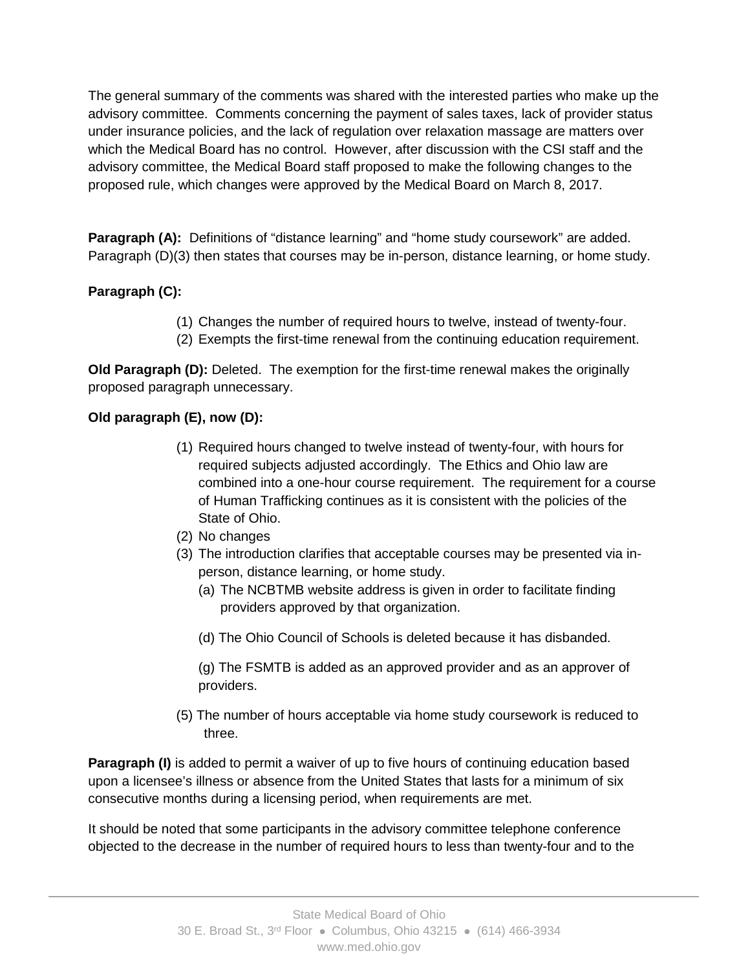The general summary of the comments was shared with the interested parties who make up the advisory committee. Comments concerning the payment of sales taxes, lack of provider status under insurance policies, and the lack of regulation over relaxation massage are matters over which the Medical Board has no control. However, after discussion with the CSI staff and the advisory committee, the Medical Board staff proposed to make the following changes to the proposed rule, which changes were approved by the Medical Board on March 8, 2017.

**Paragraph (A):** Definitions of "distance learning" and "home study coursework" are added. Paragraph (D)(3) then states that courses may be in-person, distance learning, or home study.

## **Paragraph (C):**

- (1) Changes the number of required hours to twelve, instead of twenty-four.
- (2) Exempts the first-time renewal from the continuing education requirement.

**Old Paragraph (D):** Deleted. The exemption for the first-time renewal makes the originally proposed paragraph unnecessary.

### **Old paragraph (E), now (D):**

- (1) Required hours changed to twelve instead of twenty-four, with hours for required subjects adjusted accordingly. The Ethics and Ohio law are combined into a one-hour course requirement. The requirement for a course of Human Trafficking continues as it is consistent with the policies of the State of Ohio.
- (2) No changes
- (3) The introduction clarifies that acceptable courses may be presented via inperson, distance learning, or home study.
	- (a) The NCBTMB website address is given in order to facilitate finding providers approved by that organization.
	- (d) The Ohio Council of Schools is deleted because it has disbanded.

(g) The FSMTB is added as an approved provider and as an approver of providers.

(5) The number of hours acceptable via home study coursework is reduced to three.

**Paragraph (I)** is added to permit a waiver of up to five hours of continuing education based upon a licensee's illness or absence from the United States that lasts for a minimum of six consecutive months during a licensing period, when requirements are met.

It should be noted that some participants in the advisory committee telephone conference objected to the decrease in the number of required hours to less than twenty-four and to the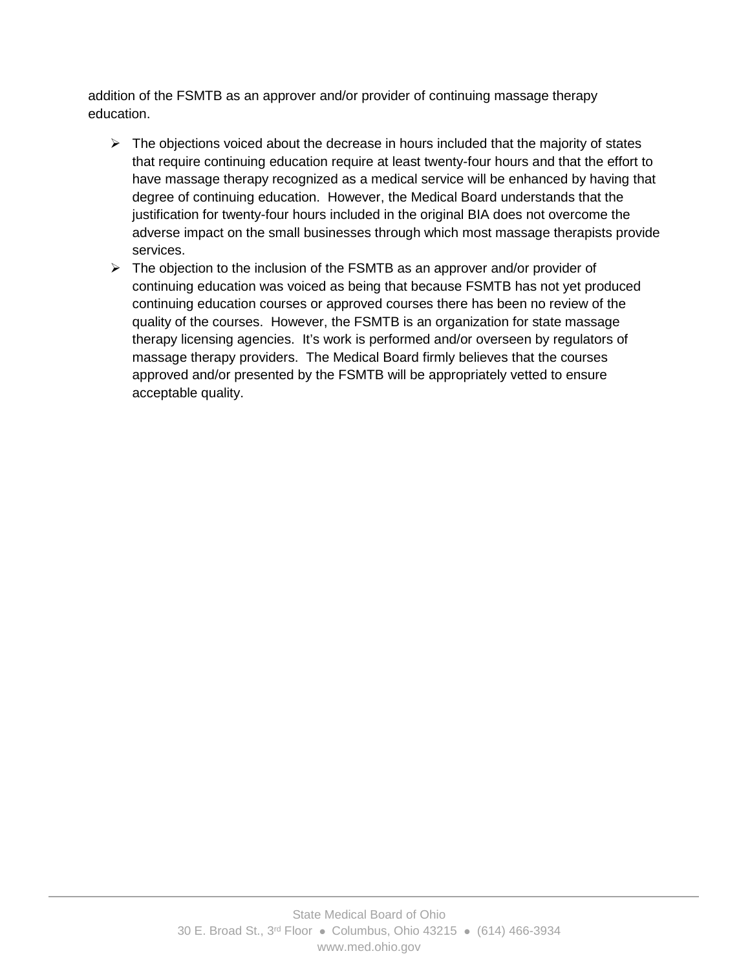addition of the FSMTB as an approver and/or provider of continuing massage therapy education.

- $\triangleright$  The objections voiced about the decrease in hours included that the majority of states that require continuing education require at least twenty-four hours and that the effort to have massage therapy recognized as a medical service will be enhanced by having that degree of continuing education. However, the Medical Board understands that the justification for twenty-four hours included in the original BIA does not overcome the adverse impact on the small businesses through which most massage therapists provide services.
- $\triangleright$  The objection to the inclusion of the FSMTB as an approver and/or provider of continuing education was voiced as being that because FSMTB has not yet produced continuing education courses or approved courses there has been no review of the quality of the courses. However, the FSMTB is an organization for state massage therapy licensing agencies. It's work is performed and/or overseen by regulators of massage therapy providers. The Medical Board firmly believes that the courses approved and/or presented by the FSMTB will be appropriately vetted to ensure acceptable quality.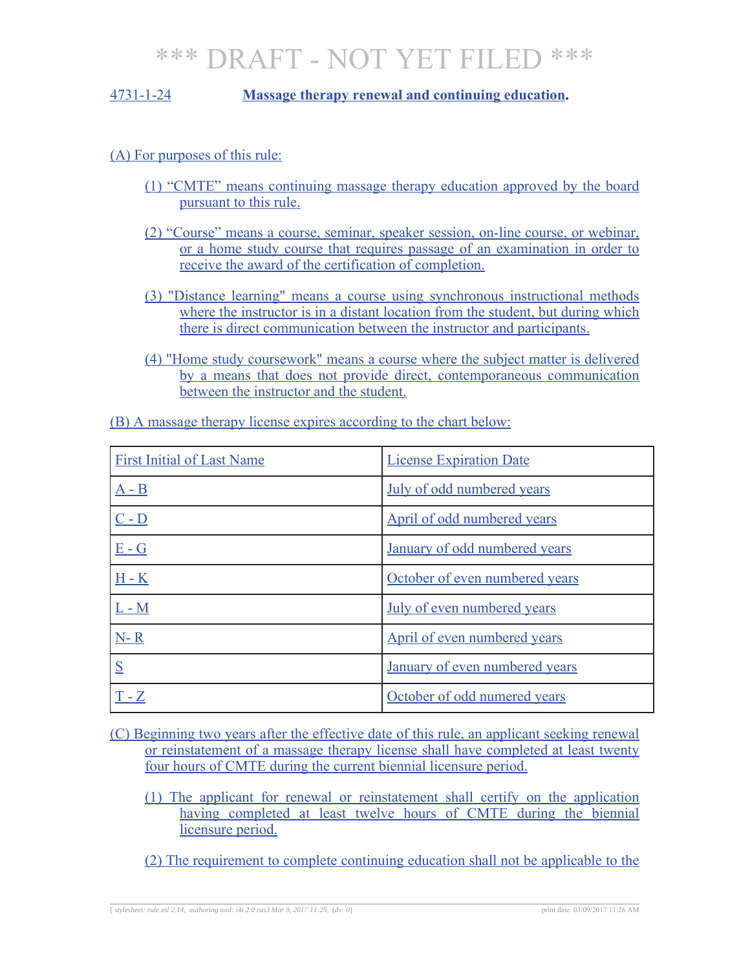### 4731-1-24 **Massage therapy renewal and continuing education.**

### (A) For purposes of this rule:

- (1) "CMTE" means continuing massage therapy education approved by the board pursuant to this rule.
- (2) "Course" means a course, seminar, speaker session, on-line course, or webinar, or a home study course that requires passage of an examination in order to receive the award of the certification of completion.
- (3) "Distance learning" means a course using synchronous instructional methods where the instructor is in a distant location from the student, but during which there is direct communication between the instructor and participants.
- (4) "Home study coursework" means a course where the subject matter is delivered by a means that does not provide direct, contemporaneous communication between the instructor and the student.

| <b>First Initial of Last Name</b> | <b>License Expiration Date</b> |
|-----------------------------------|--------------------------------|
| $A - B$                           | July of odd numbered years     |
| $C - D$                           | April of odd numbered years    |
| $E - G$                           | January of odd numbered years  |
| $H - K$                           | October of even numbered years |
| $L - M$                           | July of even numbered years    |
| $N-R$                             | April of even numbered years   |
| S                                 | January of even numbered years |
| $T - Z$                           | October of odd numered years   |

(B) A massage therapy license expires according to the chart below:

(C) Beginning two years after the effective date of this rule, an applicant seeking renewal or reinstatement of a massage therapy license shall have completed at least twenty four hours of CMTE during the current biennial licensure period.

- (1) The applicant for renewal or reinstatement shall certify on the application having completed at least twelve hours of CMTE during the biennial licensure period.
- (2) The requirement to complete continuing education shall not be applicable to the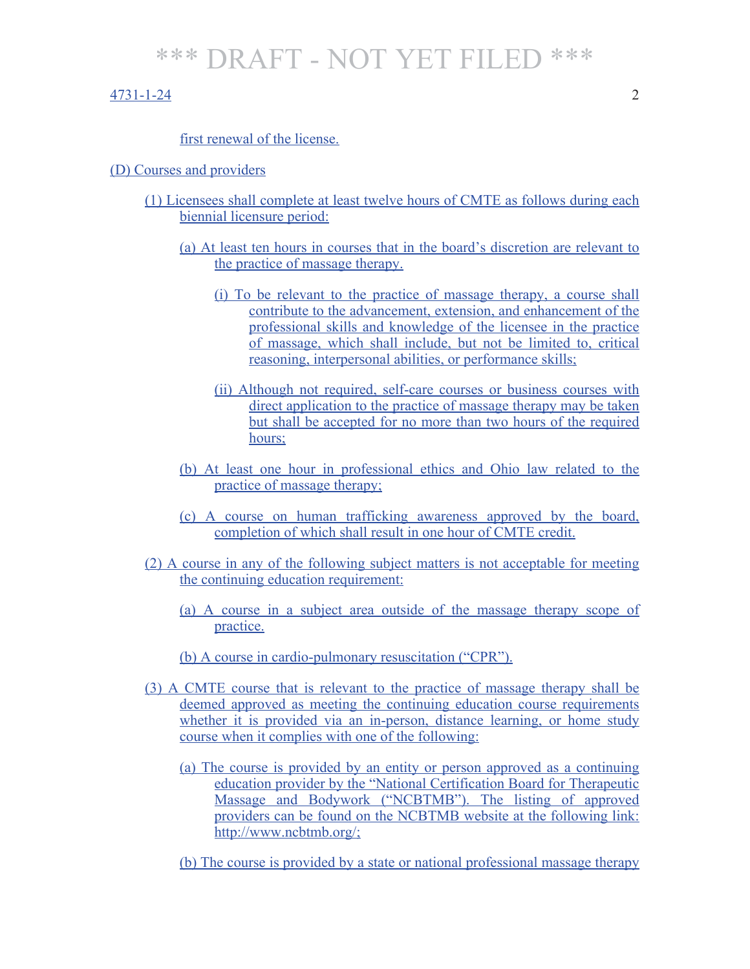#### 4731-1-24 2

#### first renewal of the license.

#### (D) Courses and providers

- (1) Licensees shall complete at least twelve hours of CMTE as follows during each biennial licensure period:
	- (a) At least ten hours in courses that in the board's discretion are relevant to the practice of massage therapy.
		- (i) To be relevant to the practice of massage therapy, a course shall contribute to the advancement, extension, and enhancement of the professional skills and knowledge of the licensee in the practice of massage, which shall include, but not be limited to, critical reasoning, interpersonal abilities, or performance skills;
		- (ii) Although not required, self-care courses or business courses with direct application to the practice of massage therapy may be taken but shall be accepted for no more than two hours of the required hours;
	- (b) At least one hour in professional ethics and Ohio law related to the practice of massage therapy;
	- (c) A course on human trafficking awareness approved by the board, completion of which shall result in one hour of CMTE credit.
- (2) A course in any of the following subject matters is not acceptable for meeting the continuing education requirement:
	- (a) A course in a subject area outside of the massage therapy scope of practice.
	- (b) A course in cardio-pulmonary resuscitation ("CPR").
- (3) A CMTE course that is relevant to the practice of massage therapy shall be deemed approved as meeting the continuing education course requirements whether it is provided via an in-person, distance learning, or home study course when it complies with one of the following:
	- (a) The course is provided by an entity or person approved as a continuing education provider by the "National Certification Board for Therapeutic Massage and Bodywork ("NCBTMB"). The listing of approved providers can be found on the NCBTMB website at the following link: http://www.ncbtmb.org/;
	- (b) The course is provided by a state or national professional massage therapy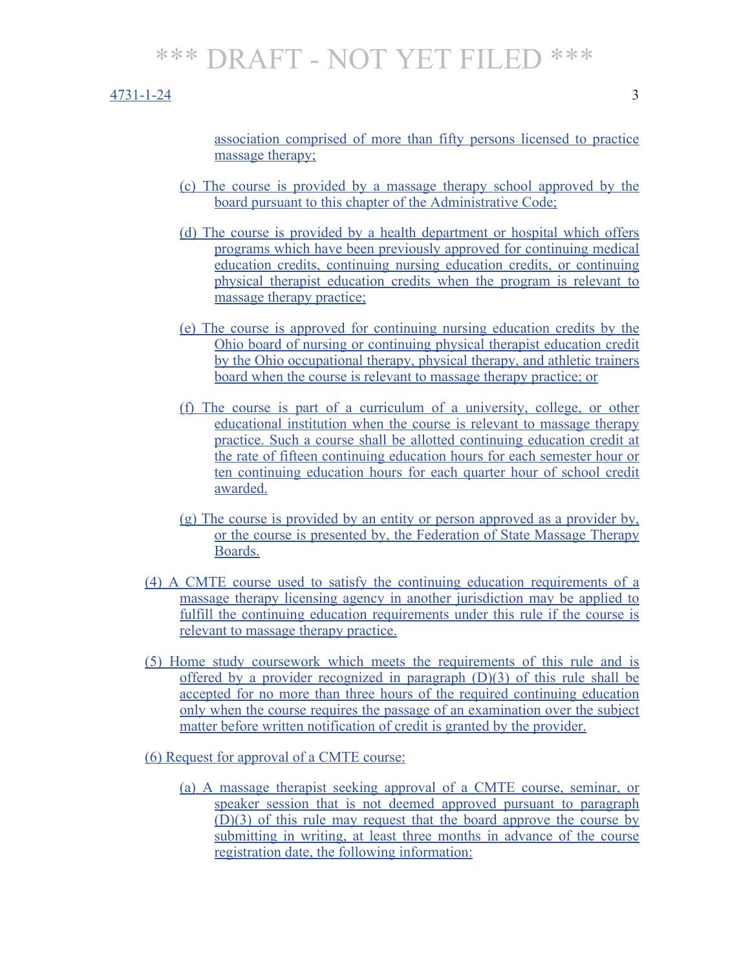#### 4731-1-24 3

association comprised of more than fifty persons licensed to practice massage therapy;

- (c) The course is provided by a massage therapy school approved by the board pursuant to this chapter of the Administrative Code;
- (d) The course is provided by a health department or hospital which offers programs which have been previously approved for continuing medical education credits, continuing nursing education credits, or continuing physical therapist education credits when the program is relevant to massage therapy practice;
- (e) The course is approved for continuing nursing education credits by the Ohio board of nursing or continuing physical therapist education credit by the Ohio occupational therapy, physical therapy, and athletic trainers board when the course is relevant to massage therapy practice; or
- (f) The course is part of a curriculum of a university, college, or other educational institution when the course is relevant to massage therapy practice. Such a course shall be allotted continuing education credit at the rate of fifteen continuing education hours for each semester hour or ten continuing education hours for each quarter hour of school credit awarded.
- (g) The course is provided by an entity or person approved as a provider by, or the course is presented by, the Federation of State Massage Therapy Boards.
- (4) A CMTE course used to satisfy the continuing education requirements of a massage therapy licensing agency in another jurisdiction may be applied to fulfill the continuing education requirements under this rule if the course is relevant to massage therapy practice.
- (5) Home study coursework which meets the requirements of this rule and is offered by a provider recognized in paragraph  $(D)(3)$  of this rule shall be accepted for no more than three hours of the required continuing education only when the course requires the passage of an examination over the subject matter before written notification of credit is granted by the provider.
- (6) Request for approval of a CMTE course:
	- (a) A massage therapist seeking approval of a CMTE course, seminar, or speaker session that is not deemed approved pursuant to paragraph (D)(3) of this rule may request that the board approve the course by submitting in writing, at least three months in advance of the course registration date, the following information: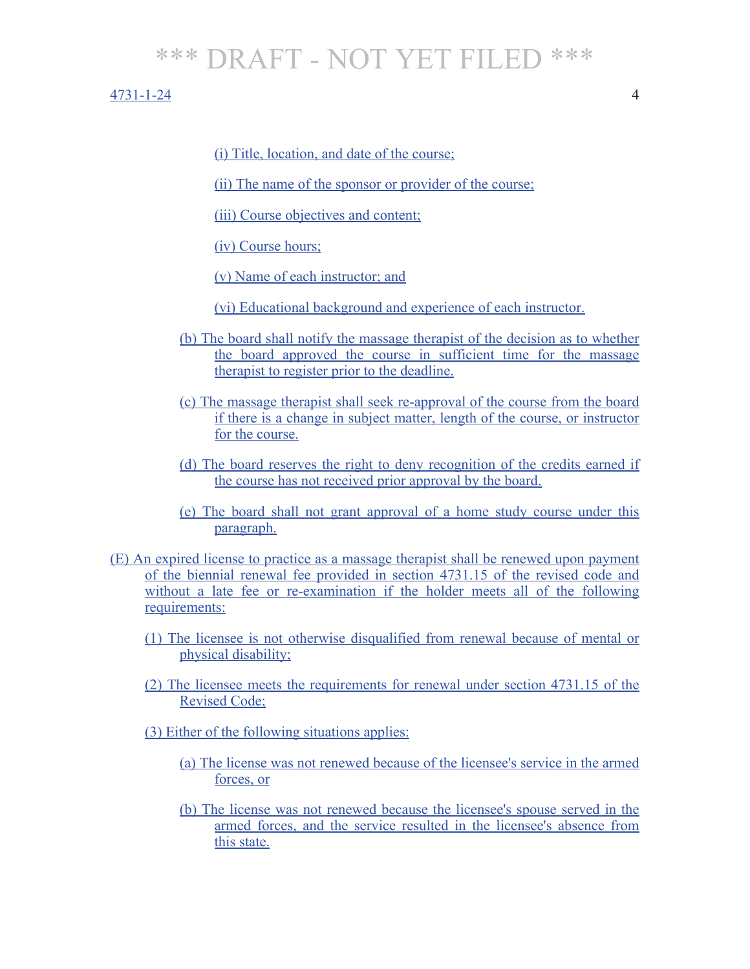#### 4731-1-24 4

(i) Title, location, and date of the course;

(ii) The name of the sponsor or provider of the course;

(iii) Course objectives and content;

(iv) Course hours;

(v) Name of each instructor; and

(vi) Educational background and experience of each instructor.

- (b) The board shall notify the massage therapist of the decision as to whether the board approved the course in sufficient time for the massage therapist to register prior to the deadline.
- (c) The massage therapist shall seek re-approval of the course from the board if there is a change in subject matter, length of the course, or instructor for the course.
- (d) The board reserves the right to deny recognition of the credits earned if the course has not received prior approval by the board.
- (e) The board shall not grant approval of a home study course under this paragraph.

(E) An expired license to practice as a massage therapist shall be renewed upon payment of the biennial renewal fee provided in section 4731.15 of the revised code and without a late fee or re-examination if the holder meets all of the following requirements:

- (1) The licensee is not otherwise disqualified from renewal because of mental or physical disability;
- (2) The licensee meets the requirements for renewal under section 4731.15 of the Revised Code;
- (3) Either of the following situations applies:
	- (a) The license was not renewed because of the licensee's service in the armed forces, or
	- (b) The license was not renewed because the licensee's spouse served in the armed forces, and the service resulted in the licensee's absence from this state.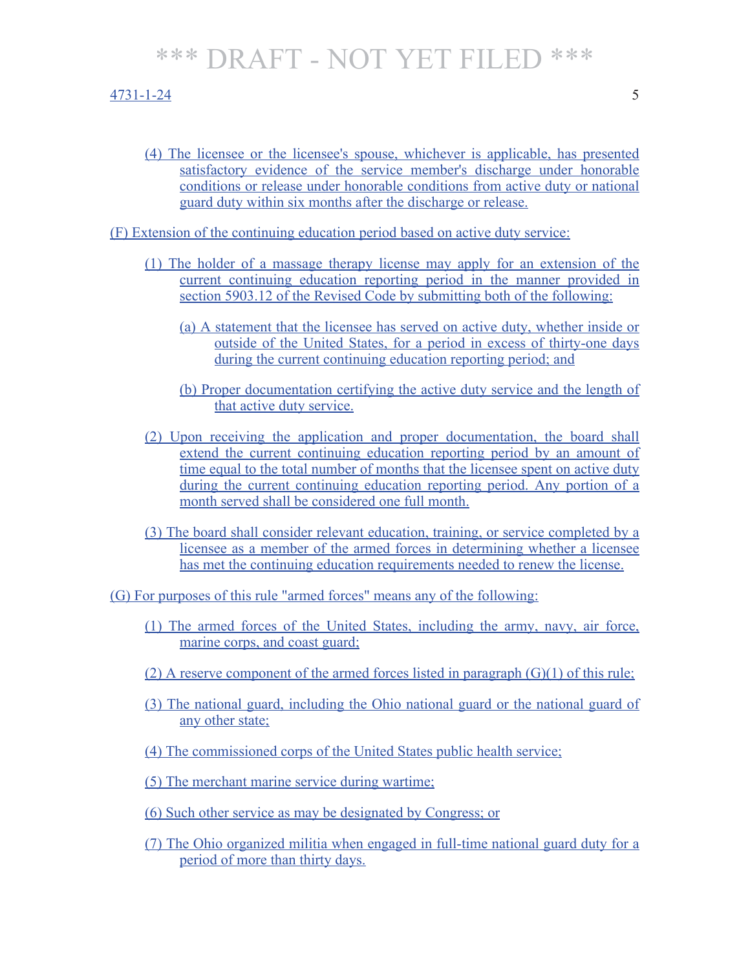#### 4731-1-24 5

(4) The licensee or the licensee's spouse, whichever is applicable, has presented satisfactory evidence of the service member's discharge under honorable conditions or release under honorable conditions from active duty or national guard duty within six months after the discharge or release.

(F) Extension of the continuing education period based on active duty service:

- (1) The holder of a massage therapy license may apply for an extension of the current continuing education reporting period in the manner provided in section 5903.12 of the Revised Code by submitting both of the following:
	- (a) A statement that the licensee has served on active duty, whether inside or outside of the United States, for a period in excess of thirty-one days during the current continuing education reporting period; and
	- (b) Proper documentation certifying the active duty service and the length of that active duty service.
- (2) Upon receiving the application and proper documentation, the board shall extend the current continuing education reporting period by an amount of time equal to the total number of months that the licensee spent on active duty during the current continuing education reporting period. Any portion of a month served shall be considered one full month.
- (3) The board shall consider relevant education, training, or service completed by a licensee as a member of the armed forces in determining whether a licensee has met the continuing education requirements needed to renew the license.

(G) For purposes of this rule "armed forces" means any of the following:

- (1) The armed forces of the United States, including the army, navy, air force, marine corps, and coast guard;
- (2) A reserve component of the armed forces listed in paragraph (G)(1) of this rule;
- (3) The national guard, including the Ohio national guard or the national guard of any other state;
- (4) The commissioned corps of the United States public health service;
- (5) The merchant marine service during wartime;
- (6) Such other service as may be designated by Congress; or
- (7) The Ohio organized militia when engaged in full-time national guard duty for a period of more than thirty days.